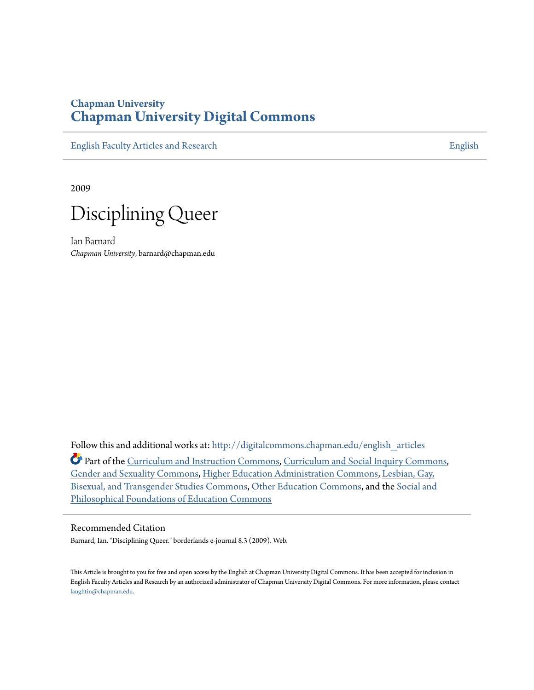# **Chapman University [Chapman University Digital Commons](http://digitalcommons.chapman.edu?utm_source=digitalcommons.chapman.edu%2Fenglish_articles%2F65&utm_medium=PDF&utm_campaign=PDFCoverPages)**

[English Faculty Articles and Research](http://digitalcommons.chapman.edu/english_articles?utm_source=digitalcommons.chapman.edu%2Fenglish_articles%2F65&utm_medium=PDF&utm_campaign=PDFCoverPages) **[English](http://digitalcommons.chapman.edu/english?utm_source=digitalcommons.chapman.edu%2Fenglish_articles%2F65&utm_medium=PDF&utm_campaign=PDFCoverPages)** 

2009



Ian Barnard *Chapman University*, barnard@chapman.edu

Follow this and additional works at: [http://digitalcommons.chapman.edu/english\\_articles](http://digitalcommons.chapman.edu/english_articles?utm_source=digitalcommons.chapman.edu%2Fenglish_articles%2F65&utm_medium=PDF&utm_campaign=PDFCoverPages) Part of the [Curriculum and Instruction Commons](http://network.bepress.com/hgg/discipline/786?utm_source=digitalcommons.chapman.edu%2Fenglish_articles%2F65&utm_medium=PDF&utm_campaign=PDFCoverPages), [Curriculum and Social Inquiry Commons](http://network.bepress.com/hgg/discipline/1038?utm_source=digitalcommons.chapman.edu%2Fenglish_articles%2F65&utm_medium=PDF&utm_campaign=PDFCoverPages), [Gender and Sexuality Commons,](http://network.bepress.com/hgg/discipline/420?utm_source=digitalcommons.chapman.edu%2Fenglish_articles%2F65&utm_medium=PDF&utm_campaign=PDFCoverPages) [Higher Education Administration Commons,](http://network.bepress.com/hgg/discipline/791?utm_source=digitalcommons.chapman.edu%2Fenglish_articles%2F65&utm_medium=PDF&utm_campaign=PDFCoverPages) [Lesbian, Gay,](http://network.bepress.com/hgg/discipline/560?utm_source=digitalcommons.chapman.edu%2Fenglish_articles%2F65&utm_medium=PDF&utm_campaign=PDFCoverPages) [Bisexual, and Transgender Studies Commons,](http://network.bepress.com/hgg/discipline/560?utm_source=digitalcommons.chapman.edu%2Fenglish_articles%2F65&utm_medium=PDF&utm_campaign=PDFCoverPages) [Other Education Commons](http://network.bepress.com/hgg/discipline/811?utm_source=digitalcommons.chapman.edu%2Fenglish_articles%2F65&utm_medium=PDF&utm_campaign=PDFCoverPages), and the [Social and](http://network.bepress.com/hgg/discipline/799?utm_source=digitalcommons.chapman.edu%2Fenglish_articles%2F65&utm_medium=PDF&utm_campaign=PDFCoverPages) [Philosophical Foundations of Education Commons](http://network.bepress.com/hgg/discipline/799?utm_source=digitalcommons.chapman.edu%2Fenglish_articles%2F65&utm_medium=PDF&utm_campaign=PDFCoverPages)

#### Recommended Citation

Barnard, Ian. "Disciplining Queer." borderlands e-journal 8.3 (2009). Web.

This Article is brought to you for free and open access by the English at Chapman University Digital Commons. It has been accepted for inclusion in English Faculty Articles and Research by an authorized administrator of Chapman University Digital Commons. For more information, please contact [laughtin@chapman.edu](mailto:laughtin@chapman.edu).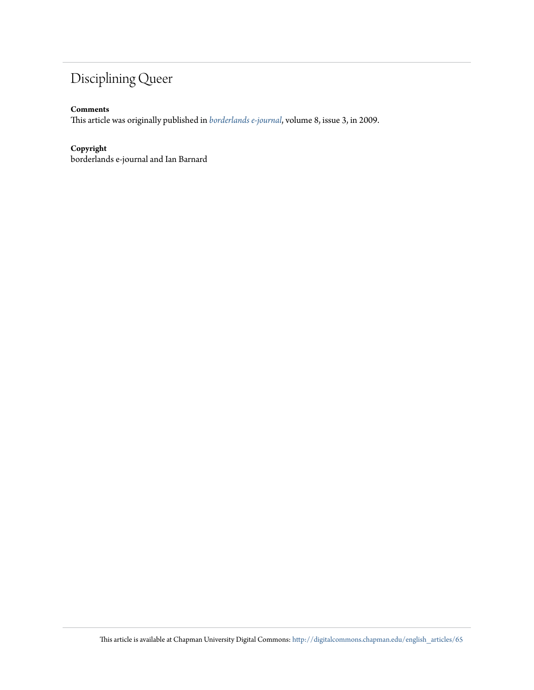# Disciplining Queer

#### **Comments**

This article was originally published in *[borderlands e-journal](http://borderlands.net.au/vol8no3_2009/barnard_disciplining.htm)*, volume 8, issue 3, in 2009.

#### **Copyright**

borderlands e-journal and Ian Barnard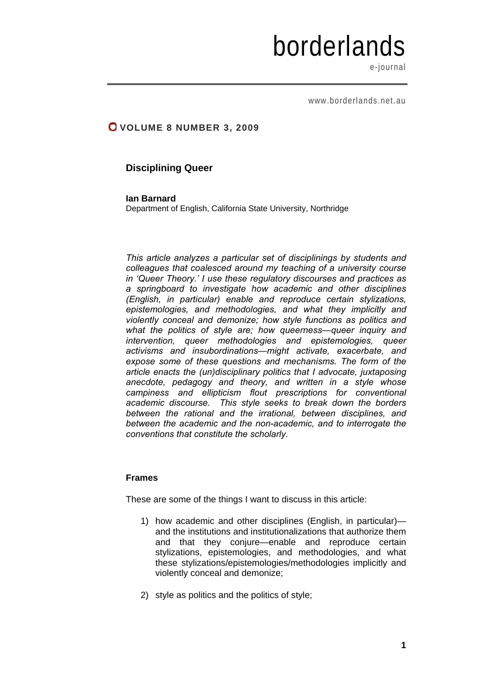# borderlands

e-journal

www.borderlands.net.au

# **VOLUME 8 NUMBER 3, 2009**

## **Disciplining Queer**

#### **Ian Barnard**

Department of English, California State University, Northridge

*This article analyzes a particular set of disciplinings by students and colleagues that coalesced around my teaching of a university course in 'Queer Theory.' I use these regulatory discourses and practices as a springboard to investigate how academic and other disciplines (English, in particular) enable and reproduce certain stylizations, epistemologies, and methodologies, and what they implicitly and violently conceal and demonize; how style functions as politics and what the politics of style are; how queerness*—*queer inquiry and intervention, queer methodologies and epistemologies, queer activisms and insubordinations*—*might activate, exacerbate, and expose some of these questions and mechanisms. The form of the article enacts the (un)disciplinary politics that I advocate, juxtaposing anecdote, pedagogy and theory, and written in a style whose campiness and ellipticism flout prescriptions for conventional academic discourse. This style seeks to break down the borders between the rational and the irrational, between disciplines, and between the academic and the non-academic, and to interrogate the conventions that constitute the scholarly.* 

#### **Frames**

These are some of the things I want to discuss in this article:

- 1) how academic and other disciplines (English, in particular) and the institutions and institutionalizations that authorize them and that they conjure—enable and reproduce certain stylizations, epistemologies, and methodologies, and what these stylizations/epistemologies/methodologies implicitly and violently conceal and demonize;
- 2) style as politics and the politics of style;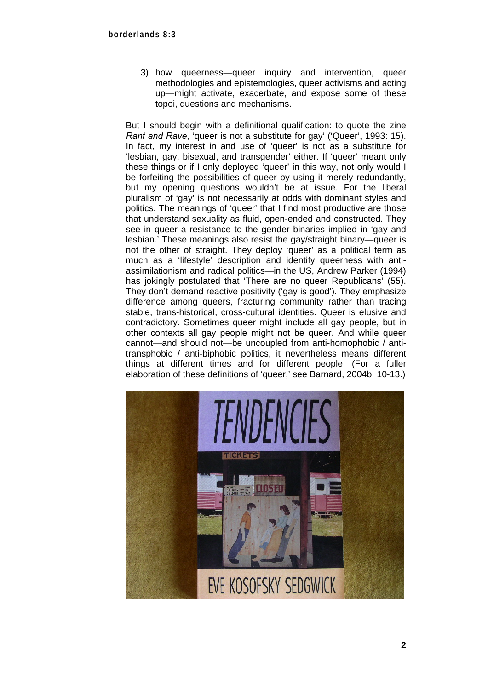3) how queerness—queer inquiry and intervention, queer methodologies and epistemologies, queer activisms and acting up—might activate, exacerbate, and expose some of these topoi, questions and mechanisms.

But I should begin with a definitional qualification: to quote the zine *Rant and Rave*, 'queer is not a substitute for gay' ('Queer', 1993: 15). In fact, my interest in and use of 'queer' is not as a substitute for 'lesbian, gay, bisexual, and transgender' either. If 'queer' meant only these things or if I only deployed 'queer' in this way, not only would I be forfeiting the possibilities of queer by using it merely redundantly, but my opening questions wouldn't be at issue. For the liberal pluralism of 'gay' is not necessarily at odds with dominant styles and politics. The meanings of 'queer' that I find most productive are those that understand sexuality as fluid, open-ended and constructed. They see in queer a resistance to the gender binaries implied in 'gay and lesbian.' These meanings also resist the gay/straight binary—queer is not the other of straight. They deploy 'queer' as a political term as much as a 'lifestyle' description and identify queerness with antiassimilationism and radical politics—in the US, Andrew Parker (1994) has jokingly postulated that 'There are no queer Republicans' (55). They don't demand reactive positivity ('gay is good'). They emphasize difference among queers, fracturing community rather than tracing stable, trans-historical, cross-cultural identities. Queer is elusive and contradictory. Sometimes queer might include all gay people, but in other contexts all gay people might not be queer. And while queer cannot—and should not—be uncoupled from anti-homophobic / antitransphobic / anti-biphobic politics, it nevertheless means different things at different times and for different people. (For a fuller elaboration of these definitions of 'queer,' see Barnard, 2004b: 10-13.)

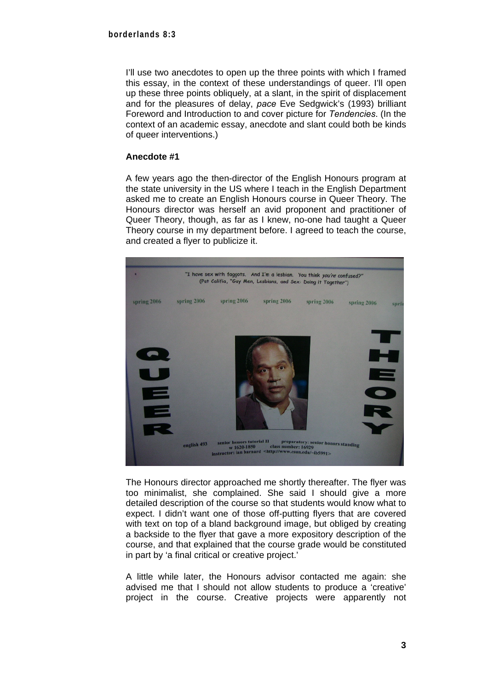I'll use two anecdotes to open up the three points with which I framed this essay, in the context of these understandings of queer. I'll open up these three points obliquely, at a slant, in the spirit of displacement and for the pleasures of delay, *pace* Eve Sedgwick's (1993) brilliant Foreword and Introduction to and cover picture for *Tendencies*. (In the context of an academic essay, anecdote and slant could both be kinds of queer interventions.)

#### **Anecdote #1**

A few years ago the then-director of the English Honours program at the state university in the US where I teach in the English Department asked me to create an English Honours course in Queer Theory. The Honours director was herself an avid proponent and practitioner of Queer Theory, though, as far as I knew, no-one had taught a Queer Theory course in my department before. I agreed to teach the course, and created a flyer to publicize it.



The Honours director approached me shortly thereafter. The flyer was too minimalist, she complained. She said I should give a more detailed description of the course so that students would know what to expect. I didn't want one of those off-putting flyers that are covered with text on top of a bland background image, but obliged by creating a backside to the flyer that gave a more expository description of the course, and that explained that the course grade would be constituted in part by 'a final critical or creative project.'

A little while later, the Honours advisor contacted me again: she advised me that I should not allow students to produce a 'creative' project in the course. Creative projects were apparently not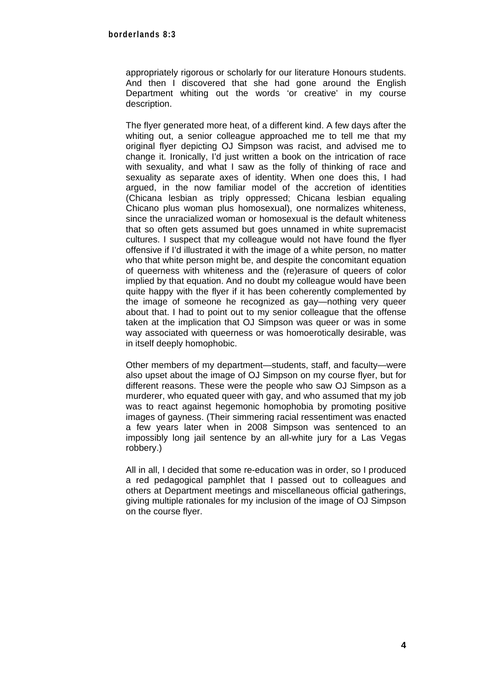appropriately rigorous or scholarly for our literature Honours students. And then I discovered that she had gone around the English Department whiting out the words 'or creative' in my course description.

The flyer generated more heat, of a different kind. A few days after the whiting out, a senior colleague approached me to tell me that my original flyer depicting OJ Simpson was racist, and advised me to change it. Ironically, I'd just written a book on the intrication of race with sexuality, and what I saw as the folly of thinking of race and sexuality as separate axes of identity. When one does this, I had argued, in the now familiar model of the accretion of identities (Chicana lesbian as triply oppressed; Chicana lesbian equaling Chicano plus woman plus homosexual), one normalizes whiteness, since the unracialized woman or homosexual is the default whiteness that so often gets assumed but goes unnamed in white supremacist cultures. I suspect that my colleague would not have found the flyer offensive if I'd illustrated it with the image of a white person, no matter who that white person might be, and despite the concomitant equation of queerness with whiteness and the (re)erasure of queers of color implied by that equation. And no doubt my colleague would have been quite happy with the flyer if it has been coherently complemented by the image of someone he recognized as gay—nothing very queer about that. I had to point out to my senior colleague that the offense taken at the implication that OJ Simpson was queer or was in some way associated with queerness or was homoerotically desirable, was in itself deeply homophobic.

Other members of my department—students, staff, and faculty—were also upset about the image of OJ Simpson on my course flyer, but for different reasons. These were the people who saw OJ Simpson as a murderer, who equated queer with gay, and who assumed that my job was to react against hegemonic homophobia by promoting positive images of gayness. (Their simmering racial ressentiment was enacted a few years later when in 2008 Simpson was sentenced to an impossibly long jail sentence by an all-white jury for a Las Vegas robbery.)

All in all, I decided that some re-education was in order, so I produced a red pedagogical pamphlet that I passed out to colleagues and others at Department meetings and miscellaneous official gatherings, giving multiple rationales for my inclusion of the image of OJ Simpson on the course flyer.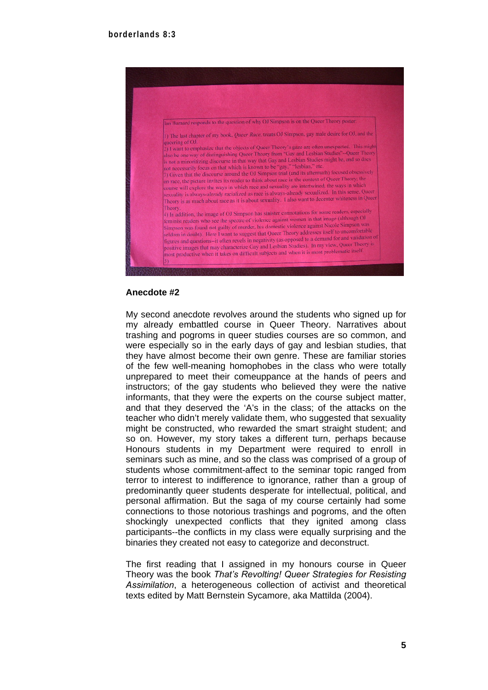

#### **Anecdote #2**

My second anecdote revolves around the students who signed up for my already embattled course in Queer Theory. Narratives about trashing and pogroms in queer studies courses are so common, and were especially so in the early days of gay and lesbian studies, that they have almost become their own genre. These are familiar stories of the few well-meaning homophobes in the class who were totally unprepared to meet their comeuppance at the hands of peers and instructors; of the gay students who believed they were the native informants, that they were the experts on the course subject matter, and that they deserved the 'A's in the class; of the attacks on the teacher who didn't merely validate them, who suggested that sexuality might be constructed, who rewarded the smart straight student; and so on. However, my story takes a different turn, perhaps because Honours students in my Department were required to enroll in seminars such as mine, and so the class was comprised of a group of students whose commitment-affect to the seminar topic ranged from terror to interest to indifference to ignorance, rather than a group of predominantly queer students desperate for intellectual, political, and personal affirmation. But the saga of my course certainly had some connections to those notorious trashings and pogroms, and the often shockingly unexpected conflicts that they ignited among class participants--the conflicts in my class were equally surprising and the binaries they created not easy to categorize and deconstruct.

The first reading that I assigned in my honours course in Queer Theory was the book *That's Revolting! Queer Strategies for Resisting Assimilation*, a heterogeneous collection of activist and theoretical texts edited by Matt Bernstein Sycamore, aka Mattilda (2004).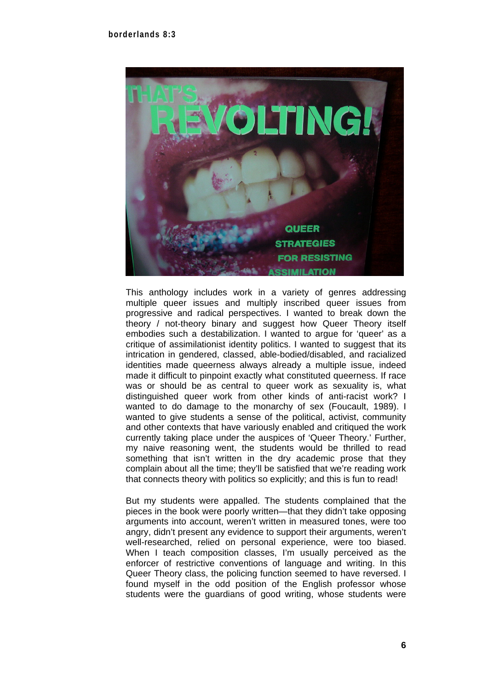

This anthology includes work in a variety of genres addressing multiple queer issues and multiply inscribed queer issues from progressive and radical perspectives. I wanted to break down the theory / not-theory binary and suggest how Queer Theory itself embodies such a destabilization. I wanted to argue for 'queer' as a critique of assimilationist identity politics. I wanted to suggest that its intrication in gendered, classed, able-bodied/disabled, and racialized identities made queerness always already a multiple issue, indeed made it difficult to pinpoint exactly what constituted queerness. If race was or should be as central to queer work as sexuality is, what distinguished queer work from other kinds of anti-racist work? I wanted to do damage to the monarchy of sex (Foucault, 1989). I wanted to give students a sense of the political, activist, community and other contexts that have variously enabled and critiqued the work currently taking place under the auspices of 'Queer Theory.' Further, my naive reasoning went, the students would be thrilled to read something that isn't written in the dry academic prose that they complain about all the time; they'll be satisfied that we're reading work that connects theory with politics so explicitly; and this is fun to read!

But my students were appalled. The students complained that the pieces in the book were poorly written—that they didn't take opposing arguments into account, weren't written in measured tones, were too angry, didn't present any evidence to support their arguments, weren't well-researched, relied on personal experience, were too biased. When I teach composition classes, I'm usually perceived as the enforcer of restrictive conventions of language and writing. In this Queer Theory class, the policing function seemed to have reversed. I found myself in the odd position of the English professor whose students were the guardians of good writing, whose students were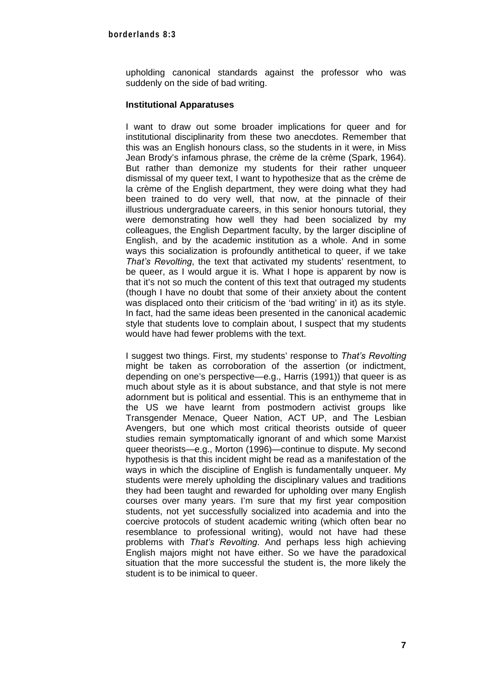upholding canonical standards against the professor who was suddenly on the side of bad writing.

#### **Institutional Apparatuses**

I want to draw out some broader implications for queer and for institutional disciplinarity from these two anecdotes. Remember that this was an English honours class, so the students in it were, in Miss Jean Brody's infamous phrase, the crème de la crème (Spark, 1964). But rather than demonize my students for their rather unqueer dismissal of my queer text, I want to hypothesize that as the crème de la crème of the English department, they were doing what they had been trained to do very well, that now, at the pinnacle of their illustrious undergraduate careers, in this senior honours tutorial, they were demonstrating how well they had been socialized by my colleagues, the English Department faculty, by the larger discipline of English, and by the academic institution as a whole. And in some ways this socialization is profoundly antithetical to queer, if we take *That's Revolting*, the text that activated my students' resentment, to be queer, as I would argue it is. What I hope is apparent by now is that it's not so much the content of this text that outraged my students (though I have no doubt that some of their anxiety about the content was displaced onto their criticism of the 'bad writing' in it) as its style. In fact, had the same ideas been presented in the canonical academic style that students love to complain about, I suspect that my students would have had fewer problems with the text.

I suggest two things. First, my students' response to *That's Revolting* might be taken as corroboration of the assertion (or indictment, depending on one's perspective—e.g., Harris (1991)) that queer is as much about style as it is about substance, and that style is not mere adornment but is political and essential. This is an enthymeme that in the US we have learnt from postmodern activist groups like Transgender Menace, Queer Nation, ACT UP, and The Lesbian Avengers, but one which most critical theorists outside of queer studies remain symptomatically ignorant of and which some Marxist queer theorists—e.g., Morton (1996)—continue to dispute. My second hypothesis is that this incident might be read as a manifestation of the ways in which the discipline of English is fundamentally unqueer. My students were merely upholding the disciplinary values and traditions they had been taught and rewarded for upholding over many English courses over many years. I'm sure that my first year composition students, not yet successfully socialized into academia and into the coercive protocols of student academic writing (which often bear no resemblance to professional writing), would not have had these problems with *That's Revolting*. And perhaps less high achieving English majors might not have either. So we have the paradoxical situation that the more successful the student is, the more likely the student is to be inimical to queer.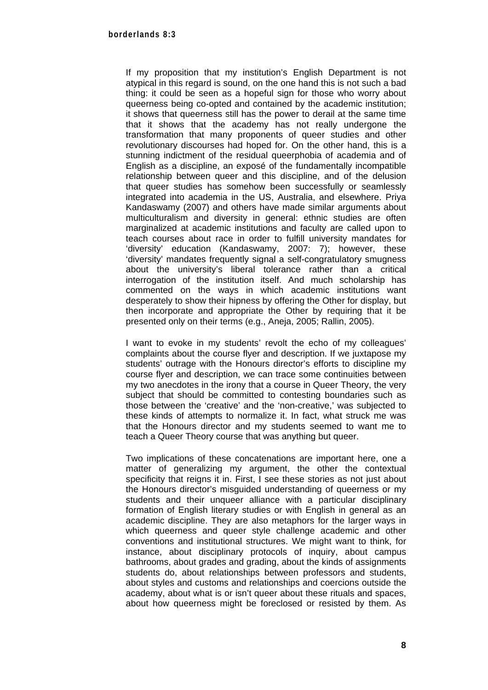If my proposition that my institution's English Department is not atypical in this regard is sound, on the one hand this is not such a bad thing: it could be seen as a hopeful sign for those who worry about queerness being co-opted and contained by the academic institution; it shows that queerness still has the power to derail at the same time that it shows that the academy has not really undergone the transformation that many proponents of queer studies and other revolutionary discourses had hoped for. On the other hand, this is a stunning indictment of the residual queerphobia of academia and of English as a discipline, an exposé of the fundamentally incompatible relationship between queer and this discipline, and of the delusion that queer studies has somehow been successfully or seamlessly integrated into academia in the US, Australia, and elsewhere. Priya Kandaswamy (2007) and others have made similar arguments about multiculturalism and diversity in general: ethnic studies are often marginalized at academic institutions and faculty are called upon to teach courses about race in order to fulfill university mandates for 'diversity' education (Kandaswamy, 2007: 7); however, these 'diversity' mandates frequently signal a self-congratulatory smugness about the university's liberal tolerance rather than a critical interrogation of the institution itself. And much scholarship has commented on the ways in which academic institutions want desperately to show their hipness by offering the Other for display, but then incorporate and appropriate the Other by requiring that it be presented only on their terms (e.g., Aneja, 2005; Rallin, 2005).

I want to evoke in my students' revolt the echo of my colleagues' complaints about the course flyer and description. If we juxtapose my students' outrage with the Honours director's efforts to discipline my course flyer and description, we can trace some continuities between my two anecdotes in the irony that a course in Queer Theory, the very subject that should be committed to contesting boundaries such as those between the 'creative' and the 'non-creative,' was subjected to these kinds of attempts to normalize it. In fact, what struck me was that the Honours director and my students seemed to want me to teach a Queer Theory course that was anything but queer.

Two implications of these concatenations are important here, one a matter of generalizing my argument, the other the contextual specificity that reigns it in. First, I see these stories as not just about the Honours director's misguided understanding of queerness or my students and their unqueer alliance with a particular disciplinary formation of English literary studies or with English in general as an academic discipline. They are also metaphors for the larger ways in which queerness and queer style challenge academic and other conventions and institutional structures. We might want to think, for instance, about disciplinary protocols of inquiry, about campus bathrooms, about grades and grading, about the kinds of assignments students do, about relationships between professors and students, about styles and customs and relationships and coercions outside the academy, about what is or isn't queer about these rituals and spaces, about how queerness might be foreclosed or resisted by them. As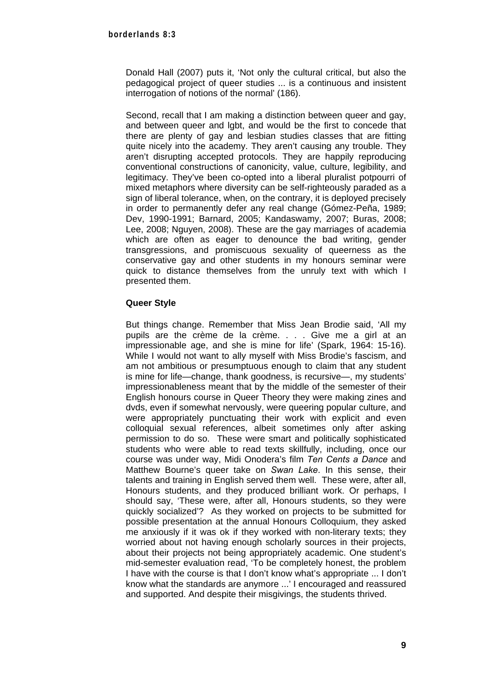Donald Hall (2007) puts it, 'Not only the cultural critical, but also the pedagogical project of queer studies ... is a continuous and insistent interrogation of notions of the normal' (186).

Second, recall that I am making a distinction between queer and gay, and between queer and lgbt, and would be the first to concede that there are plenty of gay and lesbian studies classes that are fitting quite nicely into the academy. They aren't causing any trouble. They aren't disrupting accepted protocols. They are happily reproducing conventional constructions of canonicity, value, culture, legibility, and legitimacy. They've been co-opted into a liberal pluralist potpourri of mixed metaphors where diversity can be self-righteously paraded as a sign of liberal tolerance, when, on the contrary, it is deployed precisely in order to permanently defer any real change (Gómez-Peña, 1989; Dev, 1990-1991; Barnard, 2005; Kandaswamy, 2007; Buras, 2008; Lee, 2008; Nguyen, 2008). These are the gay marriages of academia which are often as eager to denounce the bad writing, gender transgressions, and promiscuous sexuality of queerness as the conservative gay and other students in my honours seminar were quick to distance themselves from the unruly text with which I presented them.

#### **Queer Style**

But things change. Remember that Miss Jean Brodie said, 'All my pupils are the crème de la crème. . . . Give me a girl at an impressionable age, and she is mine for life' (Spark, 1964: 15-16). While I would not want to ally myself with Miss Brodie's fascism, and am not ambitious or presumptuous enough to claim that any student is mine for life—change, thank goodness, is recursive—, my students' impressionableness meant that by the middle of the semester of their English honours course in Queer Theory they were making zines and dvds, even if somewhat nervously, were queering popular culture, and were appropriately punctuating their work with explicit and even colloquial sexual references, albeit sometimes only after asking permission to do so. These were smart and politically sophisticated students who were able to read texts skillfully, including, once our course was under way, Midi Onodera's film *Ten Cents a Dance* and Matthew Bourne's queer take on *Swan Lake*. In this sense, their talents and training in English served them well. These were, after all, Honours students, and they produced brilliant work. Or perhaps, I should say, 'These were, after all, Honours students, so they were quickly socialized'? As they worked on projects to be submitted for possible presentation at the annual Honours Colloquium, they asked me anxiously if it was ok if they worked with non-literary texts; they worried about not having enough scholarly sources in their projects, about their projects not being appropriately academic. One student's mid-semester evaluation read, 'To be completely honest, the problem I have with the course is that I don't know what's appropriate ... I don't know what the standards are anymore ...' I encouraged and reassured and supported. And despite their misgivings, the students thrived.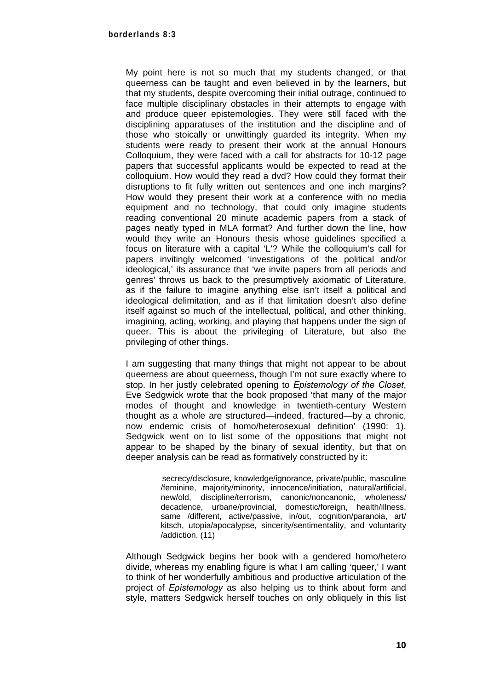My point here is not so much that my students changed, or that queerness can be taught and even believed in by the learners, but that my students, despite overcoming their initial outrage, continued to face multiple disciplinary obstacles in their attempts to engage with and produce queer epistemologies. They were still faced with the disciplining apparatuses of the institution and the discipline and of those who stoically or unwittingly guarded its integrity. When my students were ready to present their work at the annual Honours Colloquium, they were faced with a call for abstracts for 10-12 page papers that successful applicants would be expected to read at the colloquium. How would they read a dvd? How could they format their disruptions to fit fully written out sentences and one inch margins? How would they present their work at a conference with no media equipment and no technology, that could only imagine students reading conventional 20 minute academic papers from a stack of pages neatly typed in MLA format? And further down the line, how would they write an Honours thesis whose guidelines specified a focus on literature with a capital 'L'? While the colloquium's call for papers invitingly welcomed 'investigations of the political and/or ideological,' its assurance that 'we invite papers from all periods and genres' throws us back to the presumptively axiomatic of Literature, as if the failure to imagine anything else isn't itself a political and ideological delimitation, and as if that limitation doesn't also define itself against so much of the intellectual, political, and other thinking, imagining, acting, working, and playing that happens under the sign of queer. This is about the privileging of Literature, but also the privileging of other things.

I am suggesting that many things that might not appear to be about queerness are about queerness, though I'm not sure exactly where to stop. In her justly celebrated opening to *Epistemology of the Closet*, Eve Sedgwick wrote that the book proposed 'that many of the major modes of thought and knowledge in twentieth-century Western thought as a whole are structured—indeed, fractured—by a chronic, now endemic crisis of homo/heterosexual definition' (1990: 1). Sedawick went on to list some of the oppositions that might not appear to be shaped by the binary of sexual identity, but that on deeper analysis can be read as formatively constructed by it:

> secrecy/disclosure, knowledge/ignorance, private/public, masculine /feminine, majority/minority, innocence/initiation, natural/artificial, new/old, discipline/terrorism, canonic/noncanonic, wholeness/ decadence, urbane/provincial, domestic/foreign, health/illness, same /different, active/passive, in/out, cognition/paranoia, art/ kitsch, utopia/apocalypse, sincerity/sentimentality, and voluntarity /addiction. (11)

Although Sedgwick begins her book with a gendered homo/hetero divide, whereas my enabling figure is what I am calling 'queer,' I want to think of her wonderfully ambitious and productive articulation of the project of *Epistemology* as also helping us to think about form and style, matters Sedgwick herself touches on only obliquely in this list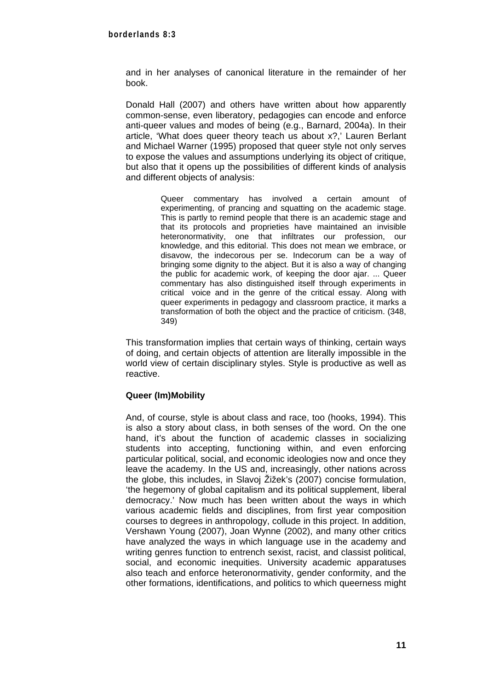and in her analyses of canonical literature in the remainder of her book.

Donald Hall (2007) and others have written about how apparently common-sense, even liberatory, pedagogies can encode and enforce anti-queer values and modes of being (e.g., Barnard, 2004a). In their article, 'What does queer theory teach us about x?,' Lauren Berlant and Michael Warner (1995) proposed that queer style not only serves to expose the values and assumptions underlying its object of critique, but also that it opens up the possibilities of different kinds of analysis and different objects of analysis:

> Queer commentary has involved a certain amount of experimenting, of prancing and squatting on the academic stage. This is partly to remind people that there is an academic stage and that its protocols and proprieties have maintained an invisible heteronormativity, one that infiltrates our profession, our knowledge, and this editorial. This does not mean we embrace, or disavow, the indecorous per se. Indecorum can be a way of bringing some dignity to the abject. But it is also a way of changing the public for academic work, of keeping the door ajar. ... Queer commentary has also distinguished itself through experiments in critical voice and in the genre of the critical essay. Along with queer experiments in pedagogy and classroom practice, it marks a transformation of both the object and the practice of criticism. (348, 349)

This transformation implies that certain ways of thinking, certain ways of doing, and certain objects of attention are literally impossible in the world view of certain disciplinary styles. Style is productive as well as reactive.

#### **Queer (Im)Mobility**

And, of course, style is about class and race, too (hooks, 1994). This is also a story about class, in both senses of the word. On the one hand, it's about the function of academic classes in socializing students into accepting, functioning within, and even enforcing particular political, social, and economic ideologies now and once they leave the academy. In the US and, increasingly, other nations across the globe, this includes, in Slavoj Žižek's (2007) concise formulation, 'the hegemony of global capitalism and its political supplement, liberal democracy.' Now much has been written about the ways in which various academic fields and disciplines, from first year composition courses to degrees in anthropology, collude in this project. In addition, Vershawn Young (2007), Joan Wynne (2002), and many other critics have analyzed the ways in which language use in the academy and writing genres function to entrench sexist, racist, and classist political, social, and economic inequities. University academic apparatuses also teach and enforce heteronormativity, gender conformity, and the other formations, identifications, and politics to which queerness might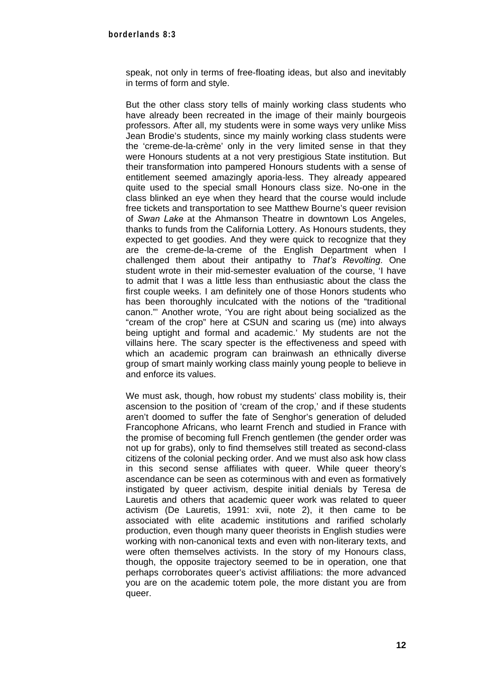speak, not only in terms of free-floating ideas, but also and inevitably in terms of form and style.

But the other class story tells of mainly working class students who have already been recreated in the image of their mainly bourgeois professors. After all, my students were in some ways very unlike Miss Jean Brodie's students, since my mainly working class students were the 'creme-de-la-crème' only in the very limited sense in that they were Honours students at a not very prestigious State institution. But their transformation into pampered Honours students with a sense of entitlement seemed amazingly aporia-less. They already appeared quite used to the special small Honours class size. No-one in the class blinked an eye when they heard that the course would include free tickets and transportation to see Matthew Bourne's queer revision of *Swan Lake* at the Ahmanson Theatre in downtown Los Angeles, thanks to funds from the California Lottery. As Honours students, they expected to get goodies. And they were quick to recognize that they are the creme-de-la-creme of the English Department when I challenged them about their antipathy to *That's Revolting*. One student wrote in their mid-semester evaluation of the course, 'I have to admit that I was a little less than enthusiastic about the class the first couple weeks. I am definitely one of those Honors students who has been thoroughly inculcated with the notions of the "traditional canon."' Another wrote, 'You are right about being socialized as the "cream of the crop" here at CSUN and scaring us (me) into always being uptight and formal and academic.' My students are not the villains here. The scary specter is the effectiveness and speed with which an academic program can brainwash an ethnically diverse group of smart mainly working class mainly young people to believe in and enforce its values.

We must ask, though, how robust my students' class mobility is, their ascension to the position of 'cream of the crop,' and if these students aren't doomed to suffer the fate of Senghor's generation of deluded Francophone Africans, who learnt French and studied in France with the promise of becoming full French gentlemen (the gender order was not up for grabs), only to find themselves still treated as second-class citizens of the colonial pecking order. And we must also ask how class in this second sense affiliates with queer. While queer theory's ascendance can be seen as coterminous with and even as formatively instigated by queer activism, despite initial denials by Teresa de Lauretis and others that academic queer work was related to queer activism (De Lauretis, 1991: xvii, note 2), it then came to be associated with elite academic institutions and rarified scholarly production, even though many queer theorists in English studies were working with non-canonical texts and even with non-literary texts, and were often themselves activists. In the story of my Honours class, though, the opposite trajectory seemed to be in operation, one that perhaps corroborates queer's activist affiliations: the more advanced you are on the academic totem pole, the more distant you are from queer.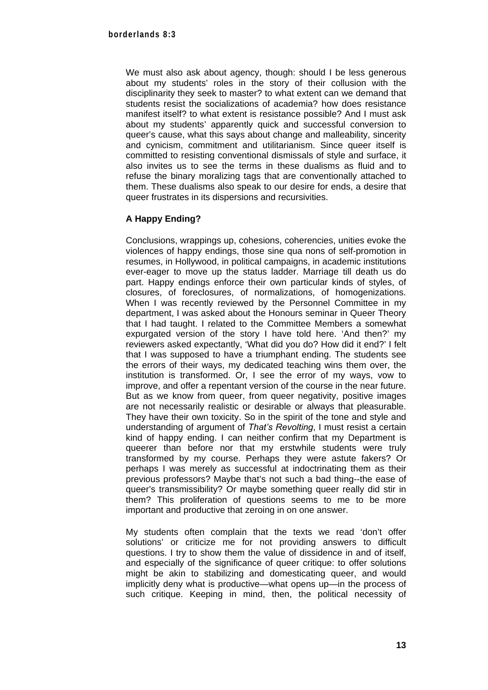We must also ask about agency, though: should I be less generous about my students' roles in the story of their collusion with the disciplinarity they seek to master? to what extent can we demand that students resist the socializations of academia? how does resistance manifest itself? to what extent is resistance possible? And I must ask about my students' apparently quick and successful conversion to queer's cause, what this says about change and malleability, sincerity and cynicism, commitment and utilitarianism. Since queer itself is committed to resisting conventional dismissals of style and surface, it also invites us to see the terms in these dualisms as fluid and to refuse the binary moralizing tags that are conventionally attached to them. These dualisms also speak to our desire for ends, a desire that queer frustrates in its dispersions and recursivities.

## **A Happy Ending?**

Conclusions, wrappings up, cohesions, coherencies, unities evoke the violences of happy endings, those sine qua nons of self-promotion in resumes, in Hollywood, in political campaigns, in academic institutions ever-eager to move up the status ladder. Marriage till death us do part. Happy endings enforce their own particular kinds of styles, of closures, of foreclosures, of normalizations, of homogenizations. When I was recently reviewed by the Personnel Committee in my department, I was asked about the Honours seminar in Queer Theory that I had taught. I related to the Committee Members a somewhat expurgated version of the story I have told here. 'And then?' my reviewers asked expectantly, 'What did you do? How did it end?' I felt that I was supposed to have a triumphant ending. The students see the errors of their ways, my dedicated teaching wins them over, the institution is transformed. Or, I see the error of my ways, vow to improve, and offer a repentant version of the course in the near future. But as we know from queer, from queer negativity, positive images are not necessarily realistic or desirable or always that pleasurable. They have their own toxicity. So in the spirit of the tone and style and understanding of argument of *That's Revolting*, I must resist a certain kind of happy ending. I can neither confirm that my Department is queerer than before nor that my erstwhile students were truly transformed by my course. Perhaps they were astute fakers? Or perhaps I was merely as successful at indoctrinating them as their previous professors? Maybe that's not such a bad thing--the ease of queer's transmissibility? Or maybe something queer really did stir in them? This proliferation of questions seems to me to be more important and productive that zeroing in on one answer.

My students often complain that the texts we read 'don't offer solutions' or criticize me for not providing answers to difficult questions. I try to show them the value of dissidence in and of itself, and especially of the significance of queer critique: to offer solutions might be akin to stabilizing and domesticating queer, and would implicitly deny what is productive—what opens up—in the process of such critique. Keeping in mind, then, the political necessity of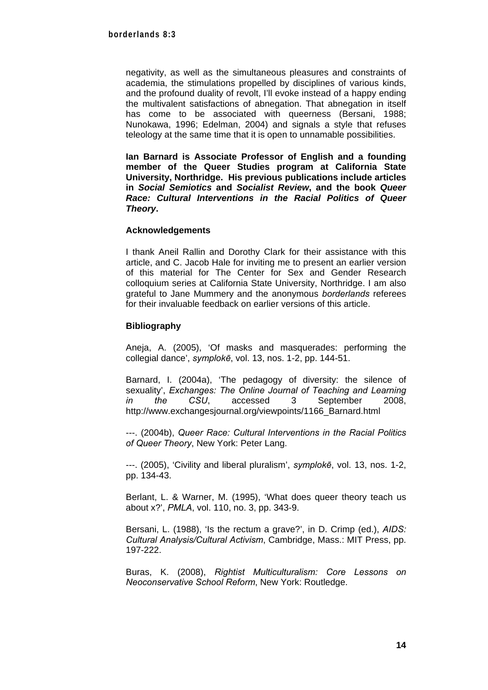negativity, as well as the simultaneous pleasures and constraints of academia, the stimulations propelled by disciplines of various kinds, and the profound duality of revolt, I'll evoke instead of a happy ending the multivalent satisfactions of abnegation. That abnegation in itself has come to be associated with queerness (Bersani, 1988; Nunokawa, 1996; Edelman, 2004) and signals a style that refuses teleology at the same time that it is open to unnamable possibilities.

**Ian Barnard is Associate Professor of English and a founding member of the Queer Studies program at California State University, Northridge. His previous publications include articles in** *Social Semiotics* **and** *Socialist Review***, and the book** *Queer Race: Cultural Interventions in the Racial Politics of Queer Theory***.** 

#### **Acknowledgements**

I thank Aneil Rallin and Dorothy Clark for their assistance with this article, and C. Jacob Hale for inviting me to present an earlier version of this material for The Center for Sex and Gender Research colloquium series at California State University, Northridge. I am also grateful to Jane Mummery and the anonymous *borderlands* referees for their invaluable feedback on earlier versions of this article.

#### **Bibliography**

Aneja, A. (2005), 'Of masks and masquerades: performing the collegial dance', *symplokē*, vol. 13, nos. 1-2, pp. 144-51.

Barnard, I. (2004a), 'The pedagogy of diversity: the silence of sexuality', *Exchanges: The Online Journal of Teaching and Learning in the CSU*, accessed 3 September 2008, http://www.exchangesjournal.org/viewpoints/1166\_Barnard.html

---. (2004b), *Queer Race: Cultural Interventions in the Racial Politics of Queer Theory*, New York: Peter Lang.

---. (2005), 'Civility and liberal pluralism', *symplokē*, vol. 13, nos. 1-2, pp. 134-43.

Berlant, L. & Warner, M. (1995), 'What does queer theory teach us about x?', *PMLA*, vol. 110, no. 3, pp. 343-9.

Bersani, L. (1988), 'Is the rectum a grave?', in D. Crimp (ed.), *AIDS: Cultural Analysis/Cultural Activism*, Cambridge, Mass.: MIT Press, pp. 197-222.

Buras, K. (2008), *Rightist Multiculturalism: Core Lessons on Neoconservative School Reform*, New York: Routledge.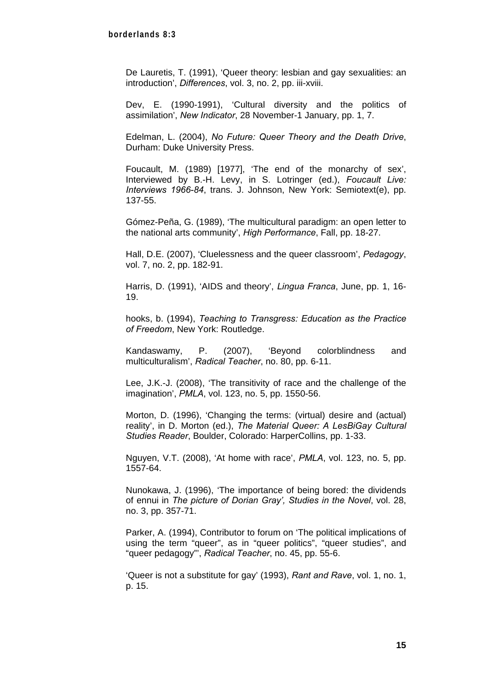De Lauretis, T. (1991), 'Queer theory: lesbian and gay sexualities: an introduction', *Differences*, vol. 3, no. 2, pp. iii-xviii.

Dev, E. (1990-1991), 'Cultural diversity and the politics of assimilation', *New Indicator*, 28 November-1 January, pp. 1, 7.

Edelman, L. (2004), *No Future: Queer Theory and the Death Drive*, Durham: Duke University Press.

Foucault, M. (1989) [1977], 'The end of the monarchy of sex', Interviewed by B.-H. Levy, in S. Lotringer (ed.), *Foucault Live: Interviews 1966-84*, trans. J. Johnson, New York: Semiotext(e), pp. 137-55.

Gómez-Peña, G. (1989), 'The multicultural paradigm: an open letter to the national arts community', *High Performance*, Fall, pp. 18-27.

Hall, D.E. (2007), 'Cluelessness and the queer classroom', *Pedagogy*, vol. 7, no. 2, pp. 182-91.

Harris, D. (1991), 'AIDS and theory', *Lingua Franca*, June, pp. 1, 16- 19.

hooks, b. (1994), *Teaching to Transgress: Education as the Practice of Freedom*, New York: Routledge.

Kandaswamy, P. (2007), 'Beyond colorblindness and multiculturalism', *Radical Teacher*, no. 80, pp. 6-11.

Lee, J.K.-J. (2008), 'The transitivity of race and the challenge of the imagination', *PMLA*, vol. 123, no. 5, pp. 1550-56.

Morton, D. (1996), 'Changing the terms: (virtual) desire and (actual) reality', in D. Morton (ed.), *The Material Queer: A LesBiGay Cultural Studies Reader*, Boulder, Colorado: HarperCollins, pp. 1-33.

Nguyen, V.T. (2008), 'At home with race', *PMLA*, vol. 123, no. 5, pp. 1557-64.

Nunokawa, J. (1996), 'The importance of being bored: the dividends of ennui in *The picture of Dorian Gray', Studies in the Novel*, vol. 28, no. 3, pp. 357-71.

Parker, A. (1994), Contributor to forum on 'The political implications of using the term "queer", as in "queer politics", "queer studies", and "queer pedagogy"', *Radical Teacher*, no. 45, pp. 55-6.

'Queer is not a substitute for gay' (1993), *Rant and Rave*, vol. 1, no. 1, p. 15.